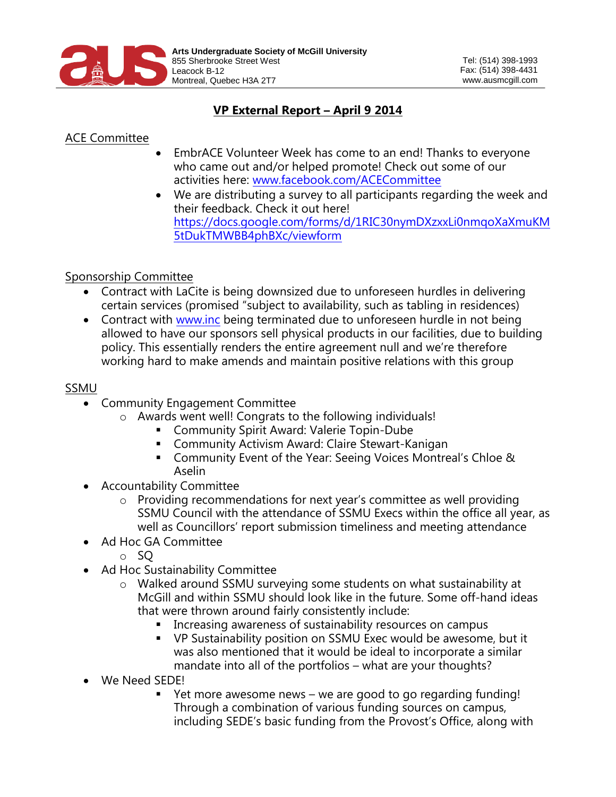

## **VP External Report – April 9 2014**

## ACE Committee

- EmbrACE Volunteer Week has come to an end! Thanks to everyone who came out and/or helped promote! Check out some of our activities here: [www.facebook.com/ACECommittee](http://www.facebook.com/ACECommittee)
- We are distributing a survey to all participants regarding the week and their feedback. Check it out here! [https://docs.google.com/forms/d/1RIC30nymDXzxxLi0nmqoXaXmuKM](https://docs.google.com/forms/d/1RIC30nymDXzxxLi0nmqoXaXmuKM5tDukTMWBB4phBXc/viewform) [5tDukTMWBB4phBXc/viewform](https://docs.google.com/forms/d/1RIC30nymDXzxxLi0nmqoXaXmuKM5tDukTMWBB4phBXc/viewform)

## Sponsorship Committee

- Contract with LaCite is being downsized due to unforeseen hurdles in delivering certain services (promised "subject to availability, such as tabling in residences)
- Contract with [www.inc](http://www.inc/) being terminated due to unforeseen hurdle in not being allowed to have our sponsors sell physical products in our facilities, due to building policy. This essentially renders the entire agreement null and we're therefore working hard to make amends and maintain positive relations with this group

## SSMU

- Community Engagement Committee
	- o Awards went well! Congrats to the following individuals!
		- **Community Spirit Award: Valerie Topin-Dube**
		- Community Activism Award: Claire Stewart-Kanigan
		- Community Event of the Year: Seeing Voices Montreal's Chloe & Aselin
- Accountability Committee
	- o Providing recommendations for next year's committee as well providing SSMU Council with the attendance of SSMU Execs within the office all year, as well as Councillors' report submission timeliness and meeting attendance
- Ad Hoc GA Committee
	- o SQ
- Ad Hoc Sustainability Committee
	- o Walked around SSMU surveying some students on what sustainability at McGill and within SSMU should look like in the future. Some off-hand ideas that were thrown around fairly consistently include:
		- **IF Increasing awareness of sustainability resources on campus**
		- VP Sustainability position on SSMU Exec would be awesome, but it was also mentioned that it would be ideal to incorporate a similar mandate into all of the portfolios – what are your thoughts?
- We Need SEDE!
	- Yet more awesome news we are good to go regarding funding! Through a combination of various funding sources on campus, including SEDE's basic funding from the Provost's Office, along with